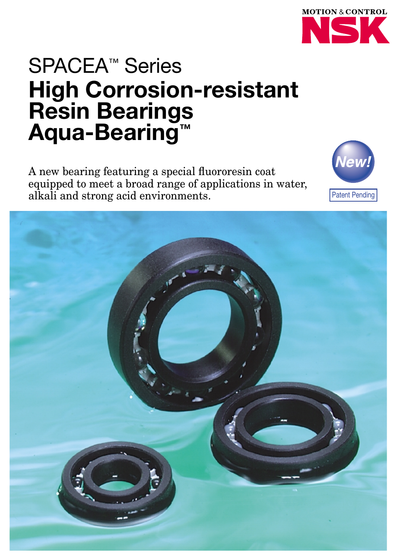

# SPACEA™ Series **High Corrosion-resistant Resin Bearings Aqua-Bearing™**

A new bearing featuring a special fluororesin coat equipped to meet a broad range of applications in water, alkali and strong acid environments.



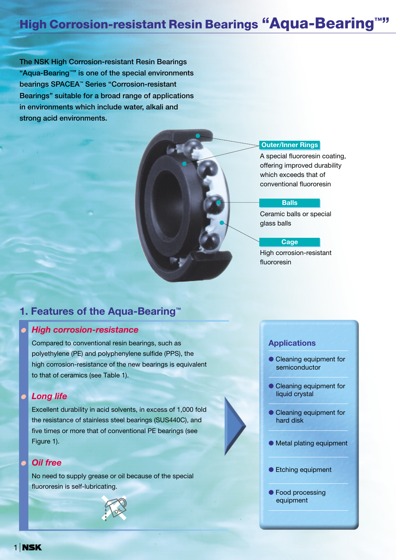## **High Corrosion-resistant Resin Bearings "Aqua-Bearing™"**

**The NSK High Corrosion-resistant Resin Bearings "Aqua-Bearing™" is one of the special environments bearings SPACEA™ Series "Corrosion-resistant Bearings" suitable for a broad range of applications in environments which include water, alkali and strong acid environments.**

#### **Outer/Inner Rings**

A special fluororesin coating, offering improved durability which exceeds that of conventional fluororesin

#### **Balls**

Ceramic balls or special glass balls

#### **Cage**

High corrosion-resistant fluororesin

## **1. Features of the Aqua-Bearing™**

## ● *High corrosion-resistance*

Compared to conventional resin bearings, such as polyethylene (PE) and polyphenylene sulfide (PPS), the high corrosion-resistance of the new bearings is equivalent to that of ceramics (see Table 1).

### **Long life**

Excellent durability in acid solvents, in excess of 1,000 fold the resistance of stainless steel bearings (SUS440C), and five times or more that of conventional PE bearings (see Figure 1).

## **Oil free**

No need to supply grease or oil because of the special fluororesin is self-lubricating.



#### **Applications**

- Cleaning equipment for semiconductor
- Cleaning equipment for liquid crystal
- Cleaning equipment for hard disk
- Metal plating equipment
- Etching equipment
- Food processing equipment